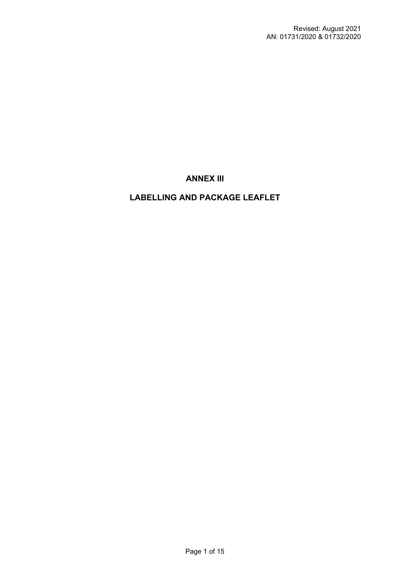# **ANNEX III**

# **LABELLING AND PACKAGE LEAFLET**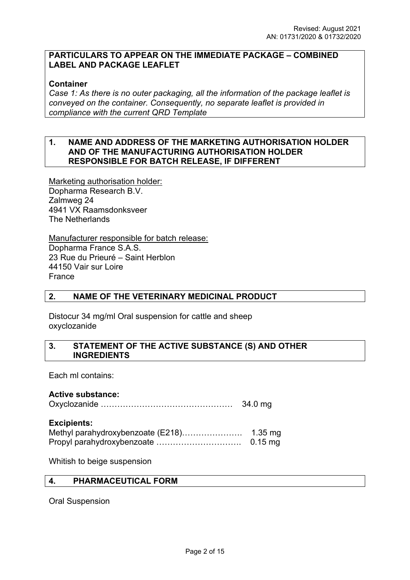## **PARTICULARS TO APPEAR ON THE IMMEDIATE PACKAGE – COMBINED LABEL AND PACKAGE LEAFLET**

## **Container**

*Case 1: As there is no outer packaging, all the information of the package leaflet is conveyed on the container. Consequently, no separate leaflet is provided in compliance with the current QRD Template*

## **1. NAME AND ADDRESS OF THE MARKETING AUTHORISATION HOLDER AND OF THE MANUFACTURING AUTHORISATION HOLDER RESPONSIBLE FOR BATCH RELEASE, IF DIFFERENT**

Marketing authorisation holder: Dopharma Research B.V. Zalmweg 24 4941 VX Raamsdonksveer The Netherlands

Manufacturer responsible for batch release: Dopharma France S.A.S. 23 Rue du Prieuré – Saint Herblon 44150 Vair sur Loire France

### **2. NAME OF THE VETERINARY MEDICINAL PRODUCT**

Distocur 34 mg/ml Oral suspension for cattle and sheep oxyclozanide

### **3. STATEMENT OF THE ACTIVE SUBSTANCE (S) AND OTHER INGREDIENTS**

Each ml contains:

### **Active substance:**

Oxyclozanide ………………………………………… 34.0 mg

#### **Excipients:**

| Methyl parahydroxybenzoate (E218) | $1.35$ mg |
|-----------------------------------|-----------|
|                                   | $0.15$ mg |

Whitish to beige suspension

## **4. PHARMACEUTICAL FORM**

Oral Suspension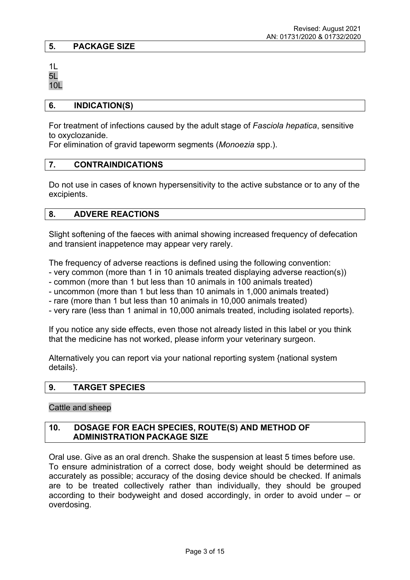## **5. PACKAGE SIZE**

1L 5L 10L

#### **6. INDICATION(S)**

For treatment of infections caused by the adult stage of *Fasciola hepatica*, sensitive to oxyclozanide.

For elimination of gravid tapeworm segments (*Monoezia* spp.).

### **7. CONTRAINDICATIONS**

Do not use in cases of known hypersensitivity to the active substance or to any of the excipients.

### **8. ADVERE REACTIONS**

Slight softening of the faeces with animal showing increased frequency of defecation and transient inappetence may appear very rarely.

The frequency of adverse reactions is defined using the following convention:

- very common (more than 1 in 10 animals treated displaying adverse reaction(s))
- common (more than 1 but less than 10 animals in 100 animals treated)
- uncommon (more than 1 but less than 10 animals in 1,000 animals treated)
- rare (more than 1 but less than 10 animals in 10,000 animals treated)
- very rare (less than 1 animal in 10,000 animals treated, including isolated reports).

If you notice any side effects, even those not already listed in this label or you think that the medicine has not worked, please inform your veterinary surgeon.

Alternatively you can report via your national reporting system {national system details}.

### **9. TARGET SPECIES**

Cattle and sheep

## **10. DOSAGE FOR EACH SPECIES, ROUTE(S) AND METHOD OF ADMINISTRATION PACKAGE SIZE**

Oral use. Give as an oral drench. Shake the suspension at least 5 times before use. To ensure administration of a correct dose, body weight should be determined as accurately as possible; accuracy of the dosing device should be checked. If animals are to be treated collectively rather than individually, they should be grouped according to their bodyweight and dosed accordingly, in order to avoid under – or overdosing.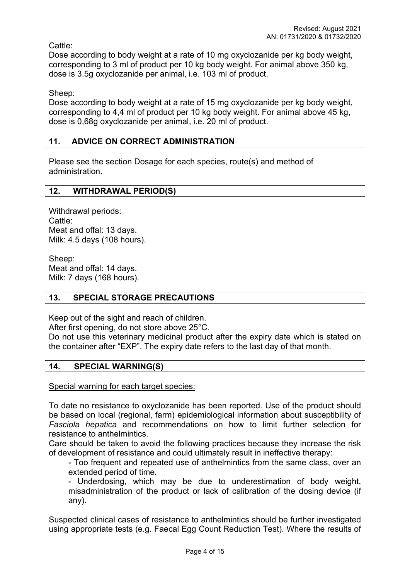Cattle:

Dose according to body weight at a rate of 10 mg oxyclozanide per kg body weight, corresponding to 3 ml of product per 10 kg body weight. For animal above 350 kg, dose is 3.5g oxyclozanide per animal, i.e. 103 ml of product.

Sheep:

Dose according to body weight at a rate of 15 mg oxyclozanide per kg body weight, corresponding to 4,4 ml of product per 10 kg body weight. For animal above 45 kg, dose is 0,68g oxyclozanide per animal, i.e. 20 ml of product.

## **11. ADVICE ON CORRECT ADMINISTRATION**

Please see the section Dosage for each species, route(s) and method of administration.

### **12. WITHDRAWAL PERIOD(S)**

Withdrawal periods: Cattle: Meat and offal: 13 days. Milk: 4.5 days (108 hours).

Sheep: Meat and offal: 14 days. Milk: 7 days (168 hours).

## **13. SPECIAL STORAGE PRECAUTIONS**

Keep out of the sight and reach of children.

After first opening, do not store above 25°C.

Do not use this veterinary medicinal product after the expiry date which is stated on the container after "EXP". The expiry date refers to the last day of that month.

## **14. SPECIAL WARNING(S)**

Special warning for each target species:

To date no resistance to oxyclozanide has been reported. Use of the product should be based on local (regional, farm) epidemiological information about susceptibility of *Fasciola hepatica* and recommendations on how to limit further selection for resistance to anthelmintics.

Care should be taken to avoid the following practices because they increase the risk of development of resistance and could ultimately result in ineffective therapy:

- Too frequent and repeated use of anthelmintics from the same class, over an extended period of time.

- Underdosing, which may be due to underestimation of body weight, misadministration of the product or lack of calibration of the dosing device (if any).

Suspected clinical cases of resistance to anthelmintics should be further investigated using appropriate tests (e.g. Faecal Egg Count Reduction Test). Where the results of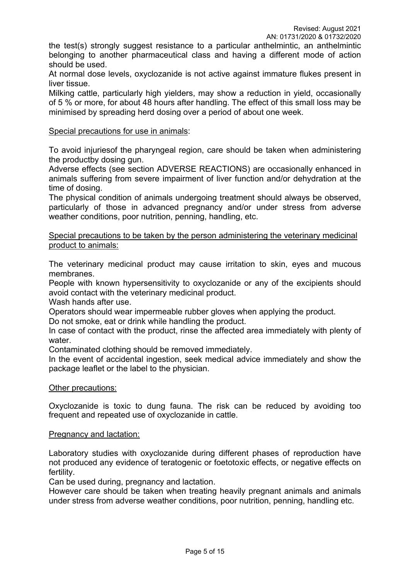the test(s) strongly suggest resistance to a particular anthelmintic, an anthelmintic belonging to another pharmaceutical class and having a different mode of action should be used.

At normal dose levels, oxyclozanide is not active against immature flukes present in liver tissue.

Milking cattle, particularly high yielders, may show a reduction in yield, occasionally of 5 % or more, for about 48 hours after handling. The effect of this small loss may be minimised by spreading herd dosing over a period of about one week.

### Special precautions for use in animals:

To avoid injuriesof the pharyngeal region, care should be taken when administering the productby dosing gun.

Adverse effects (see section ADVERSE REACTIONS) are occasionally enhanced in animals suffering from severe impairment of liver function and/or dehydration at the time of dosing.

The physical condition of animals undergoing treatment should always be observed, particularly of those in advanced pregnancy and/or under stress from adverse weather conditions, poor nutrition, penning, handling, etc.

Special precautions to be taken by the person administering the veterinary medicinal product to animals:

The veterinary medicinal product may cause irritation to skin, eyes and mucous membranes.

People with known hypersensitivity to oxyclozanide or any of the excipients should avoid contact with the veterinary medicinal product.

Wash hands after use.

Operators should wear impermeable rubber gloves when applying the product.

Do not smoke, eat or drink while handling the product.

In case of contact with the product, rinse the affected area immediately with plenty of water.

Contaminated clothing should be removed immediately.

In the event of accidental ingestion, seek medical advice immediately and show the package leaflet or the label to the physician.

### Other precautions:

Oxyclozanide is toxic to dung fauna. The risk can be reduced by avoiding too frequent and repeated use of oxyclozanide in cattle.

### Pregnancy and lactation:

Laboratory studies with oxyclozanide during different phases of reproduction have not produced any evidence of teratogenic or foetotoxic effects, or negative effects on fertility.

Can be used during, pregnancy and lactation.

However care should be taken when treating heavily pregnant animals and animals under stress from adverse weather conditions, poor nutrition, penning, handling etc.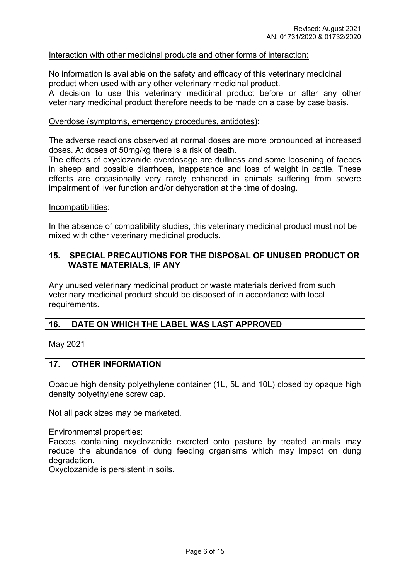### Interaction with other medicinal products and other forms of interaction:

No information is available on the safety and efficacy of this veterinary medicinal product when used with any other veterinary medicinal product.

A decision to use this veterinary medicinal product before or after any other veterinary medicinal product therefore needs to be made on a case by case basis.

#### Overdose (symptoms, emergency procedures, antidotes):

The adverse reactions observed at normal doses are more pronounced at increased doses. At doses of 50mg/kg there is a risk of death.

The effects of oxyclozanide overdosage are dullness and some loosening of faeces in sheep and possible diarrhoea, inappetance and loss of weight in cattle. These effects are occasionally very rarely enhanced in animals suffering from severe impairment of liver function and/or dehydration at the time of dosing.

#### Incompatibilities:

In the absence of compatibility studies, this veterinary medicinal product must not be mixed with other veterinary medicinal products.

### **15. SPECIAL PRECAUTIONS FOR THE DISPOSAL OF UNUSED PRODUCT OR WASTE MATERIALS, IF ANY**

Any unused veterinary medicinal product or waste materials derived from such veterinary medicinal product should be disposed of in accordance with local requirements.

### **16. DATE ON WHICH THE LABEL WAS LAST APPROVED**

May 2021

#### **17. OTHER INFORMATION**

Opaque high density polyethylene container (1L, 5L and 10L) closed by opaque high density polyethylene screw cap.

Not all pack sizes may be marketed.

Environmental properties:

Faeces containing oxyclozanide excreted onto pasture by treated animals may reduce the abundance of dung feeding organisms which may impact on dung degradation.

Oxyclozanide is persistent in soils.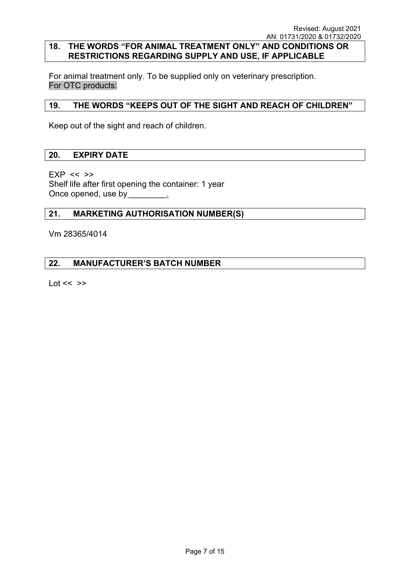## **18. THE WORDS "FOR ANIMAL TREATMENT ONLY" AND CONDITIONS OR RESTRICTIONS REGARDING SUPPLY AND USE, IF APPLICABLE**

For animal treatment only. To be supplied only on veterinary prescription. For OTC products:

## **19. THE WORDS "KEEPS OUT OF THE SIGHT AND REACH OF CHILDREN"**

Keep out of the sight and reach of children.

### **20. EXPIRY DATE**

 $EXP \ll >>$ Shelf life after first opening the container: 1 year Once opened, use by Theorem 2011

### **21. MARKETING AUTHORISATION NUMBER(S)**

Vm 28365/4014

## **22. MANUFACTURER'S BATCH NUMBER**

Lot  $<<$   $>>$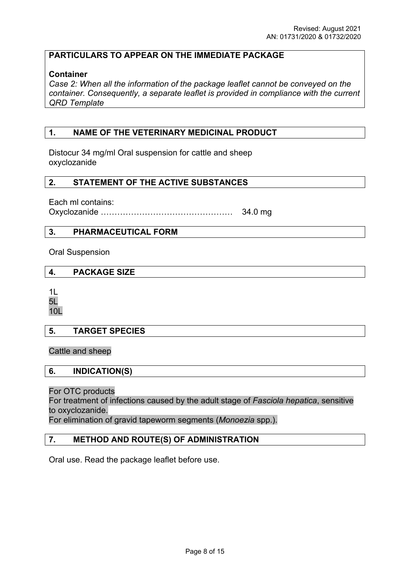## **PARTICULARS TO APPEAR ON THE IMMEDIATE PACKAGE**

### **Container**

*Case 2: When all the information of the package leaflet cannot be conveyed on the container. Consequently, a separate leaflet is provided in compliance with the current QRD Template*

## **1. NAME OF THE VETERINARY MEDICINAL PRODUCT**

Distocur 34 mg/ml Oral suspension for cattle and sheep oxyclozanide

### **2. STATEMENT OF THE ACTIVE SUBSTANCES**

Each ml contains:

Oxyclozanide ………………………………………… 34.0 mg

## **3. PHARMACEUTICAL FORM**

Oral Suspension

### **4. PACKAGE SIZE**

1L 5L 10L

### **5. TARGET SPECIES**

Cattle and sheep

### **6. INDICATION(S)**

For OTC products

For treatment of infections caused by the adult stage of *Fasciola hepatica*, sensitive to oxyclozanide.

For elimination of gravid tapeworm segments (*Monoezia* spp.).

## **7. METHOD AND ROUTE(S) OF ADMINISTRATION**

Oral use. Read the package leaflet before use.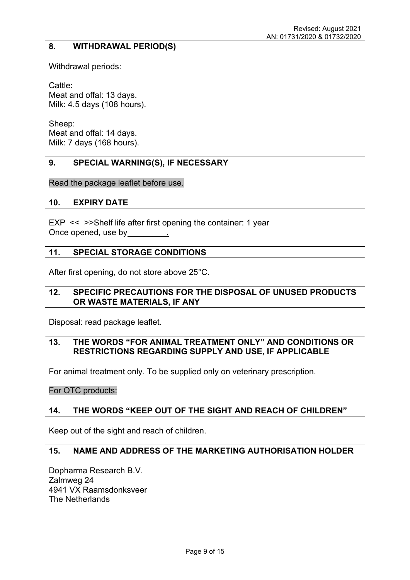## **8. WITHDRAWAL PERIOD(S)**

Withdrawal periods:

Cattle: Meat and offal: 13 days. Milk: 4.5 days (108 hours).

Sheep: Meat and offal: 14 days. Milk: 7 days (168 hours).

### **9. SPECIAL WARNING(S), IF NECESSARY**

Read the package leaflet before use.

#### **10. EXPIRY DATE**

EXP << >>Shelf life after first opening the container: 1 year Once opened, use by

### **11. SPECIAL STORAGE CONDITIONS**

After first opening, do not store above 25°C.

### **12. SPECIFIC PRECAUTIONS FOR THE DISPOSAL OF UNUSED PRODUCTS OR WASTE MATERIALS, IF ANY**

Disposal: read package leaflet.

### **13. THE WORDS "FOR ANIMAL TREATMENT ONLY" AND CONDITIONS OR RESTRICTIONS REGARDING SUPPLY AND USE, IF APPLICABLE**

For animal treatment only. To be supplied only on veterinary prescription.

For OTC products:

### **14. THE WORDS "KEEP OUT OF THE SIGHT AND REACH OF CHILDREN"**

Keep out of the sight and reach of children.

### **15. NAME AND ADDRESS OF THE MARKETING AUTHORISATION HOLDER**

Dopharma Research B.V. Zalmweg 24 4941 VX Raamsdonksveer The Netherlands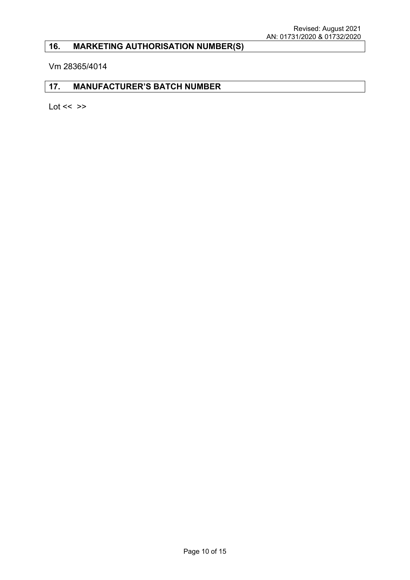# **16. MARKETING AUTHORISATION NUMBER(S)**

Vm 28365/4014

### **17. MANUFACTURER'S BATCH NUMBER**

Lot  $<<$   $>>$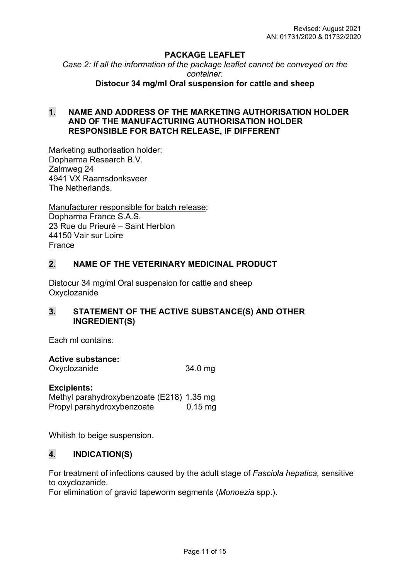## **PACKAGE LEAFLET**

*Case 2: If all the information of the package leaflet cannot be conveyed on the container.*

**Distocur 34 mg/ml Oral suspension for cattle and sheep**

## **1. NAME AND ADDRESS OF THE MARKETING AUTHORISATION HOLDER AND OF THE MANUFACTURING AUTHORISATION HOLDER RESPONSIBLE FOR BATCH RELEASE, IF DIFFERENT**

Marketing authorisation holder: Dopharma Research B.V. Zalmweg 24 4941 VX Raamsdonksveer The Netherlands.

Manufacturer responsible for batch release: Dopharma France S.A.S. 23 Rue du Prieuré – Saint Herblon 44150 Vair sur Loire France

## **2. NAME OF THE VETERINARY MEDICINAL PRODUCT**

Distocur 34 mg/ml Oral suspension for cattle and sheep **Oxyclozanide** 

## **3. STATEMENT OF THE ACTIVE SUBSTANCE(S) AND OTHER INGREDIENT(S)**

Each ml contains:

### **Active substance:**

Oxyclozanide 34.0 mg

### **Excipients:**

Methyl parahydroxybenzoate (E218) 1.35 mg Propyl parahydroxybenzoate 0.15 mg

Whitish to beige suspension.

## **4. INDICATION(S)**

For treatment of infections caused by the adult stage of *Fasciola hepatica,* sensitive to oxyclozanide.

For elimination of gravid tapeworm segments (*Monoezia* spp.).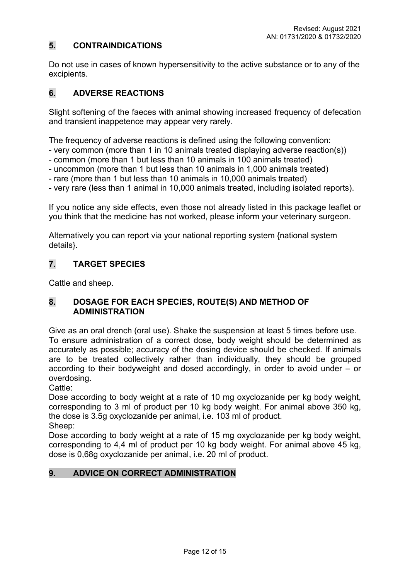## **5. CONTRAINDICATIONS**

Do not use in cases of known hypersensitivity to the active substance or to any of the excipients.

## **6. ADVERSE REACTIONS**

Slight softening of the faeces with animal showing increased frequency of defecation and transient inappetence may appear very rarely.

The frequency of adverse reactions is defined using the following convention:

- very common (more than 1 in 10 animals treated displaying adverse reaction(s))

- common (more than 1 but less than 10 animals in 100 animals treated)

- uncommon (more than 1 but less than 10 animals in 1,000 animals treated)

- rare (more than 1 but less than 10 animals in 10,000 animals treated)

- very rare (less than 1 animal in 10,000 animals treated, including isolated reports).

If you notice any side effects, even those not already listed in this package leaflet or you think that the medicine has not worked, please inform your veterinary surgeon.

Alternatively you can report via your national reporting system {national system details}.

## **7. TARGET SPECIES**

Cattle and sheep.

## **8. DOSAGE FOR EACH SPECIES, ROUTE(S) AND METHOD OF ADMINISTRATION**

Give as an oral drench (oral use). Shake the suspension at least 5 times before use. To ensure administration of a correct dose, body weight should be determined as accurately as possible; accuracy of the dosing device should be checked. If animals are to be treated collectively rather than individually, they should be grouped according to their bodyweight and dosed accordingly, in order to avoid under – or overdosing.

Cattle:

Dose according to body weight at a rate of 10 mg oxyclozanide per kg body weight, corresponding to 3 ml of product per 10 kg body weight. For animal above 350 kg, the dose is 3.5g oxyclozanide per animal, i.e. 103 ml of product. Sheep:

Dose according to body weight at a rate of 15 mg oxyclozanide per kg body weight, corresponding to 4,4 ml of product per 10 kg body weight. For animal above 45 kg, dose is 0,68g oxyclozanide per animal, i.e. 20 ml of product.

## **9. ADVICE ON CORRECT ADMINISTRATION**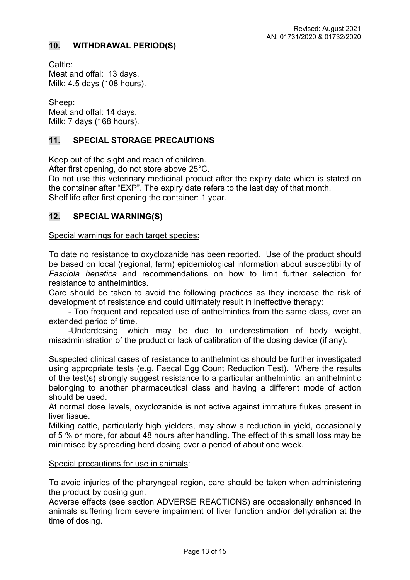## **10. WITHDRAWAL PERIOD(S)**

Cattle: Meat and offal: 13 days. Milk: 4.5 days (108 hours).

Sheep: Meat and offal: 14 days. Milk: 7 days (168 hours).

## **11. SPECIAL STORAGE PRECAUTIONS**

Keep out of the sight and reach of children.

After first opening, do not store above 25°C.

Do not use this veterinary medicinal product after the expiry date which is stated on the container after "EXP". The expiry date refers to the last day of that month. Shelf life after first opening the container: 1 year.

## **12. SPECIAL WARNING(S)**

Special warnings for each target species:

To date no resistance to oxyclozanide has been reported. Use of the product should be based on local (regional, farm) epidemiological information about susceptibility of *Fasciola hepatica* and recommendations on how to limit further selection for resistance to anthelmintics.

Care should be taken to avoid the following practices as they increase the risk of development of resistance and could ultimately result in ineffective therapy:

- Too frequent and repeated use of anthelmintics from the same class, over an extended period of time.

-Underdosing, which may be due to underestimation of body weight, misadministration of the product or lack of calibration of the dosing device (if any).

Suspected clinical cases of resistance to anthelmintics should be further investigated using appropriate tests (e.g. Faecal Egg Count Reduction Test). Where the results of the test(s) strongly suggest resistance to a particular anthelmintic, an anthelmintic belonging to another pharmaceutical class and having a different mode of action should be used.

At normal dose levels, oxyclozanide is not active against immature flukes present in liver tissue.

Milking cattle, particularly high yielders, may show a reduction in yield, occasionally of 5 % or more, for about 48 hours after handling. The effect of this small loss may be minimised by spreading herd dosing over a period of about one week.

Special precautions for use in animals:

To avoid injuries of the pharyngeal region, care should be taken when administering the product by dosing gun.

Adverse effects (see section ADVERSE REACTIONS) are occasionally enhanced in animals suffering from severe impairment of liver function and/or dehydration at the time of dosing.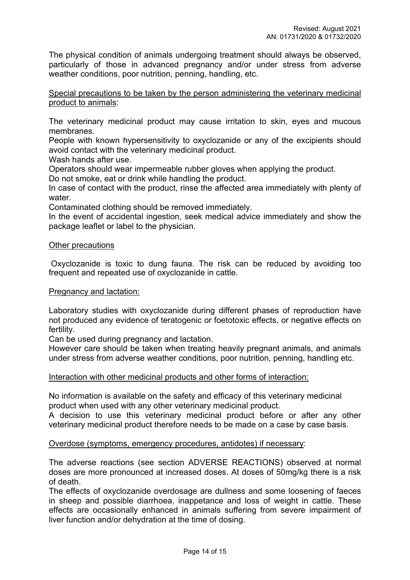The physical condition of animals undergoing treatment should always be observed, particularly of those in advanced pregnancy and/or under stress from adverse weather conditions, poor nutrition, penning, handling, etc.

Special precautions to be taken by the person administering the veterinary medicinal product to animals:

The veterinary medicinal product may cause irritation to skin, eyes and mucous membranes.

People with known hypersensitivity to oxyclozanide or any of the excipients should avoid contact with the veterinary medicinal product.

Wash hands after use.

Operators should wear impermeable rubber gloves when applying the product.

Do not smoke, eat or drink while handling the product.

In case of contact with the product, rinse the affected area immediately with plenty of water.

Contaminated clothing should be removed immediately.

In the event of accidental ingestion, seek medical advice immediately and show the package leaflet or label to the physician.

#### Other precautions

 Oxyclozanide is toxic to dung fauna. The risk can be reduced by avoiding too frequent and repeated use of oxyclozanide in cattle.

#### Pregnancy and lactation:

Laboratory studies with oxyclozanide during different phases of reproduction have not produced any evidence of teratogenic or foetotoxic effects, or negative effects on fertility.

Can be used during pregnancy and lactation.

However care should be taken when treating heavily pregnant animals, and animals under stress from adverse weather conditions, poor nutrition, penning, handling etc.

### Interaction with other medicinal products and other forms of interaction:

No information is available on the safety and efficacy of this veterinary medicinal product when used with any other veterinary medicinal product.

A decision to use this veterinary medicinal product before or after any other veterinary medicinal product therefore needs to be made on a case by case basis.

### Overdose (symptoms, emergency procedures, antidotes) if necessary:

The adverse reactions (see section ADVERSE REACTIONS) observed at normal doses are more pronounced at increased doses. At doses of 50mg/kg there is a risk of death.

The effects of oxyclozanide overdosage are dullness and some loosening of faeces in sheep and possible diarrhoea, inappetance and loss of weight in cattle. These effects are occasionally enhanced in animals suffering from severe impairment of liver function and/or dehydration at the time of dosing.